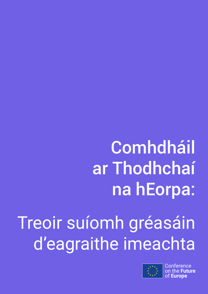# **Comhdháil** ar Thodhchaí na hEorpa:

# Treoir suíomh gréasáin d'eagraithe imeachta



**Conference** u**ture** of **Europe**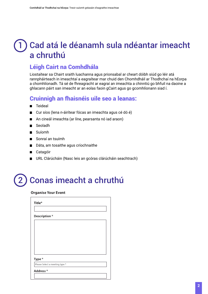## Cad atá le déanamh sula ndéantar imeacht a chruthú 1

## Léigh Cairt na Comhdhála

Liostaítear sa Chairt sraith luachanna agus prionsabal ar cheart dóibh siúd go léir atá rannpháirteach in imeachtaí a eagraítear mar chuid den Chomhdháil ar Thodhchaí na hEorpa a chomhlíonadh. Tá sé de fhreagracht ar eagraí an imeachta a chinntiú go bhfuil na daoine a ghlacann páirt san imeacht ar an eolas faoin gCairt agus go gcomhlíonann siad í.

## Cruinnigh an fhaisnéis uile seo a leanas:

- Teideal  $\blacksquare$
- Cur síos (lena n-áirítear fócas an imeachta agus cé dó é)
- An cineál imeachta (ar líne, pearsanta nó iad araon)  $\blacksquare$
- Seoladh  $\blacksquare$
- Suíomh
- Sonraí an tsuímh
- Dáta, am tosaithe agus críochnaithe a an
- **■** Catagóir
- URL Clárúcháin (Nasc leis an gcóras clárúcháin seachtrach)

### Conas imeacht a chruthú 2

#### **Organise Your Event**

| Title*                         |  |
|--------------------------------|--|
|                                |  |
| Description *                  |  |
|                                |  |
|                                |  |
|                                |  |
|                                |  |
|                                |  |
|                                |  |
| Type*                          |  |
| Please Select a meeting type * |  |
| Address*                       |  |
|                                |  |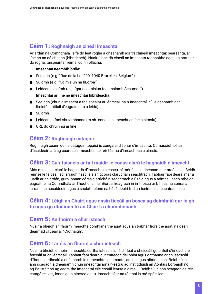## Céim 1: **Roghnaigh an cineál imeachta**

Ar ardán na Comhdhála, is féidir leat rogha a dhéanamh idir trí chineál imeachtaí: pearsanta, ar líne nó an dá cheann (hibrideach). Nuair a bheidh cineál an imeachta roghnaithe agat, ag brath ar do rogha, taispeánfar réimsí coinníollacha:

#### **Imeachtaí neamhfhíorúla:**

- Seoladh (e.g. "Rue de la Loi 200, 1040 Bruxelles, Belgium")
- Suíomh (e.g. "Coimisiún na hEorpa")
- Leideanna suímh (e.g. "gar do stáisiún faoi thalamh Schuman")

#### **Imeachtaí ar líne nó imeachtaí hibrideacha:**

- Seoladh (chun d'imeacht a thaispeáint ar léarscáil na n-imeachtaí, níl le déanamh ach limistéar áitiúil d'eagraíochta a léiriú)
- Suíomh
- Leideanna faoi shuíomhanna (m.sh. conas an imeacht ar líne a aimsiu)
- URL do chruinniú ar líne

## Céim 2: **Roghnaigh catagóir**

Roghnaigh ceann de na catagóirí topaicí is cóngaraí d'ábhar d'imeachta. Cumasóidh sé sin d'úsáideoirí atá ag cuardach imeachtaí de réir téama d'imeacht-sa a aimsiú.

### Céim 3: **Cuir faisnéis ar fáil maidir le conas clárú le haghaidh d'imeacht**

Más mian leat clárú le haghaidh d'imeachta a éascú, ní mór é sin a dhéanamh ar ardán eile. Beidh réimse le feiceáil ag iarraidh nasc leis an gcóras clárúcháin seachtrach. Tabhair faoi deara, mar a luadh ar an ardán, gurb ionann córas clárúcháin seachtrach a úsáid agus a admháil nach mbeidh eagraithe na Comhdhála ar Thodhchaí na hEorpa freagrach in imthosca ar bith as na sonraí a iarrann na húsáideoirí agus a sholáthraíonn na húsáideoirí tríd an tseirbhís sheachtrach seo.

#### Céim 4: **Léigh an Chairt agus ansin ticeáil an bosca ag deimhniú gur léigh tú agus go dtoilíonn tú an Chairt a chomhlíonadh**

#### Céim 5: **An fhoirm a chur isteach**

Nuair a bheidh an fhoirm imeachta comhlánaithe agat agus an t-ábhar fíoraithe agat, ná déan dearmad cliceáil ar "Cruthaigh".

### Céim 6: **Tar éis an fhoirm a chur isteach**

Nuair a bheidh d'fhoirm imeachta curtha isteach, is féidir leat a sheiceáil go bhfuil d'imeacht le feiceáil ar an léarscáil. Tabhair faoi deara gur cuireadh deilbhíní agus dathanna ar an léarscáil d'fhonn idirdhealú a dhéanamh idir imeachtaí pearsanta, ar líne agus hibrideacha. Beidh tú in ann scagadh a dhéanamh chun imeachtaí arna n-eagrú ag institidiúidí an Aontais Eorpaigh nó ag Ballstáit nó ag eagraithe imeachtaí eile cosúil leatsa a aimsiú. Beidh tú in ann scagadh de réir catagóire, leis, ionas go n-aimseoidh tú imeachtaí ar na téamaí is mó spéis leat.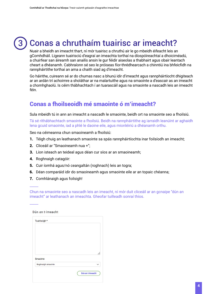#### Conas a chruthaím tuairisc ar imeacht? 3

Nuair a bheidh an imeacht thart, ní mór tuairisc a chruthú air le go mbeidh éifeacht leis an gComhdháil. Ligeann tuairisciú d'eagraí an imeachta torthaí na díospóireachtaí a dhoiciméadú, a chuirfear san áireamh san anailís ansin le gur féidir aiseolas a thabhairt agus obair leantach cheart a dhéanamh. Cabhraíonn sé seo le próiseas fíor-thrédhearcach a chinntiú ina bhfeicfidh na rannpháirtithe torthaí an ama a chaith siad ag d'imeacht.

Go háirithe, cuireann sé ar do chumas nasc a bhunú idir d'imeacht agus rannpháirtíocht dhigiteach ar an ardán trí achoimre a sholáthar ar na malartuithe agus na smaointe a d'eascair as an imeacht a chomhghaolú. Is céim thábhachtach í an tuarascáil agus na smaointe a nascadh leis an imeacht féin.

## Conas a fhoilseoidh mé smaointe ó m'imeacht?

Sula mbeidh tú in ann an imeacht a nascadh le smaointe, beidh ort na smaointe seo a fhoilsiú.

Tá sé ríthábhachtach smaointe a fhoilsiú. Beidh na rannpháirtithe ag iarraidh leanúint ar aghaidh lena gcuid smaointe, iad a phlé le daoine eile, agus mionléiriú a dhéanamh orthu.

Seo na céimeanna chun smaoineamh a fhoilsiú:

- 1. Téigh chuig an leathanach smaointe sa spás rannpháirtíochta inar foilsíodh an imeacht;
- 2. Cliceáil ar "Smaoineamh nua +";
- 3. Líon isteach an teideal agus déan cur síos ar an smaoineamh;
- 4. Roghnaigh catagóir:

\_\_\_\_\_

 $\overline{\phantom{a}}$ 

- 5. Cuir íomhá agus/nó ceangaltán (roghnach) leis an togra;
- 6. Déan comparáid idir do smaoineamh agus smaointe eile ar an topaic chéanna;
- 7. Comhlánaigh agus foilsigh!

Chun na smaointe seo a nascadh leis an imeacht, ní mór duit cliceáil ar an gcnaipe "dún an imeacht" ar leathanach an imeachta. Gheofar tuilleadh sonraí thíos.

| Tuairiscigh *                  |              |
|--------------------------------|--------------|
|                                |              |
|                                |              |
|                                |              |
| Smaointe<br>Roghnaigh smaointe | $\checkmark$ |